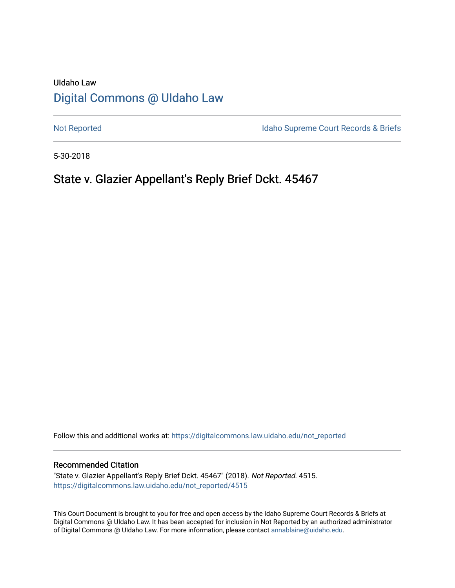# UIdaho Law [Digital Commons @ UIdaho Law](https://digitalcommons.law.uidaho.edu/)

[Not Reported](https://digitalcommons.law.uidaho.edu/not_reported) **Idaho Supreme Court Records & Briefs** 

5-30-2018

# State v. Glazier Appellant's Reply Brief Dckt. 45467

Follow this and additional works at: [https://digitalcommons.law.uidaho.edu/not\\_reported](https://digitalcommons.law.uidaho.edu/not_reported?utm_source=digitalcommons.law.uidaho.edu%2Fnot_reported%2F4515&utm_medium=PDF&utm_campaign=PDFCoverPages) 

### Recommended Citation

"State v. Glazier Appellant's Reply Brief Dckt. 45467" (2018). Not Reported. 4515. [https://digitalcommons.law.uidaho.edu/not\\_reported/4515](https://digitalcommons.law.uidaho.edu/not_reported/4515?utm_source=digitalcommons.law.uidaho.edu%2Fnot_reported%2F4515&utm_medium=PDF&utm_campaign=PDFCoverPages)

This Court Document is brought to you for free and open access by the Idaho Supreme Court Records & Briefs at Digital Commons @ UIdaho Law. It has been accepted for inclusion in Not Reported by an authorized administrator of Digital Commons @ UIdaho Law. For more information, please contact [annablaine@uidaho.edu](mailto:annablaine@uidaho.edu).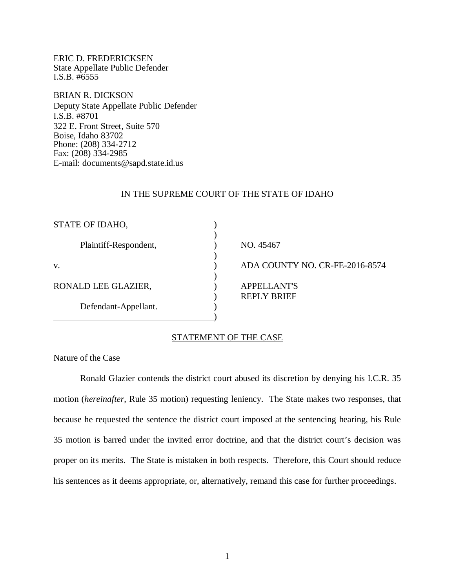ERIC D. FREDERICKSEN State Appellate Public Defender I.S.B. #6555

BRIAN R. DICKSON Deputy State Appellate Public Defender I.S.B. #8701 322 E. Front Street, Suite 570 Boise, Idaho 83702 Phone: (208) 334-2712 Fax: (208) 334-2985 E-mail: documents@sapd.state.id.us

#### IN THE SUPREME COURT OF THE STATE OF IDAHO

| STATE OF IDAHO,       |                                |
|-----------------------|--------------------------------|
| Plaintiff-Respondent, | NO. 45467                      |
| V.                    | ADA COUNTY NO. CR-FE-2016-8574 |
| RONALD LEE GLAZIER,   | <b>APPELLANT'S</b>             |
| Defendant-Appellant.  | <b>REPLY BRIEF</b>             |

# STATEMENT OF THE CASE

#### Nature of the Case

Ronald Glazier contends the district court abused its discretion by denying his I.C.R. 35 motion (*hereinafter*, Rule 35 motion) requesting leniency. The State makes two responses, that because he requested the sentence the district court imposed at the sentencing hearing, his Rule 35 motion is barred under the invited error doctrine, and that the district court's decision was proper on its merits. The State is mistaken in both respects. Therefore, this Court should reduce his sentences as it deems appropriate, or, alternatively, remand this case for further proceedings.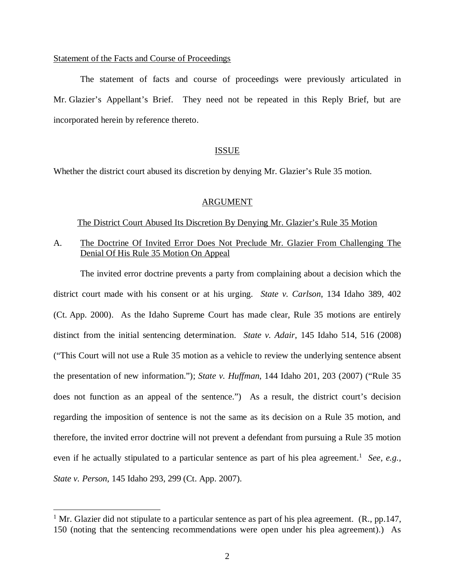### Statement of the Facts and Course of Proceedings

The statement of facts and course of proceedings were previously articulated in Mr. Glazier's Appellant's Brief. They need not be repeated in this Reply Brief, but are incorporated herein by reference thereto.

## ISSUE

Whether the district court abused its discretion by denying Mr. Glazier's Rule 35 motion.

## ARGUMENT

## The District Court Abused Its Discretion By Denying Mr. Glazier's Rule 35 Motion

# A. The Doctrine Of Invited Error Does Not Preclude Mr. Glazier From Challenging The Denial Of His Rule 35 Motion On Appeal

The invited error doctrine prevents a party from complaining about a decision which the district court made with his consent or at his urging. *State v. Carlson*, 134 Idaho 389, 402 (Ct. App. 2000). As the Idaho Supreme Court has made clear, Rule 35 motions are entirely distinct from the initial sentencing determination. *State v. Adair*, 145 Idaho 514, 516 (2008) ("This Court will not use a Rule 35 motion as a vehicle to review the underlying sentence absent the presentation of new information."); *State v. Huffman*, 144 Idaho 201, 203 (2007) ("Rule 35 does not function as an appeal of the sentence.") As a result, the district court's decision regarding the imposition of sentence is not the same as its decision on a Rule 35 motion, and therefore, the invited error doctrine will not prevent a defendant from pursuing a Rule 35 motion even if he actually stipulated to a particular sentence as part of his plea agreement.<sup>[1](#page-2-0)</sup> See, e.g., *State v. Person*, 145 Idaho 293, 299 (Ct. App. 2007).

<span id="page-2-0"></span><sup>&</sup>lt;sup>1</sup> Mr. Glazier did not stipulate to a particular sentence as part of his plea agreement. (R., pp.147, 150 (noting that the sentencing recommendations were open under his plea agreement).) As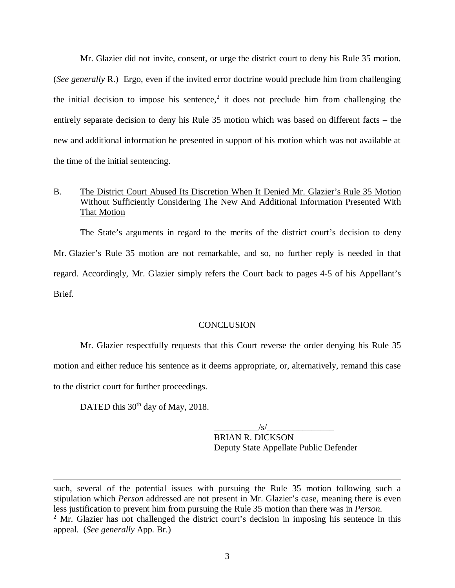Mr. Glazier did not invite, consent, or urge the district court to deny his Rule 35 motion. (*See generally* R.) Ergo, even if the invited error doctrine would preclude him from challenging the initial decision to impose his sentence,<sup>[2](#page-3-0)</sup> it does not preclude him from challenging the entirely separate decision to deny his Rule 35 motion which was based on different facts – the new and additional information he presented in support of his motion which was not available at the time of the initial sentencing.

# B. The District Court Abused Its Discretion When It Denied Mr. Glazier's Rule 35 Motion Without Sufficiently Considering The New And Additional Information Presented With That Motion

The State's arguments in regard to the merits of the district court's decision to deny Mr. Glazier's Rule 35 motion are not remarkable, and so, no further reply is needed in that regard. Accordingly, Mr. Glazier simply refers the Court back to pages 4-5 of his Appellant's Brief.

#### **CONCLUSION**

Mr. Glazier respectfully requests that this Court reverse the order denying his Rule 35 motion and either reduce his sentence as it deems appropriate, or, alternatively, remand this case to the district court for further proceedings.

DATED this 30<sup>th</sup> day of May, 2018.

 $\sqrt{s}/$ BRIAN R. DICKSON Deputy State Appellate Public Defender

<span id="page-3-0"></span>such, several of the potential issues with pursuing the Rule 35 motion following such a stipulation which *Person* addressed are not present in Mr. Glazier's case, meaning there is even less justification to prevent him from pursuing the Rule 35 motion than there was in *Person*.  $2^2$  Mr. Glazier has not challenged the district court's decision in imposing his sentence in this appeal. (*See generally* App. Br.)